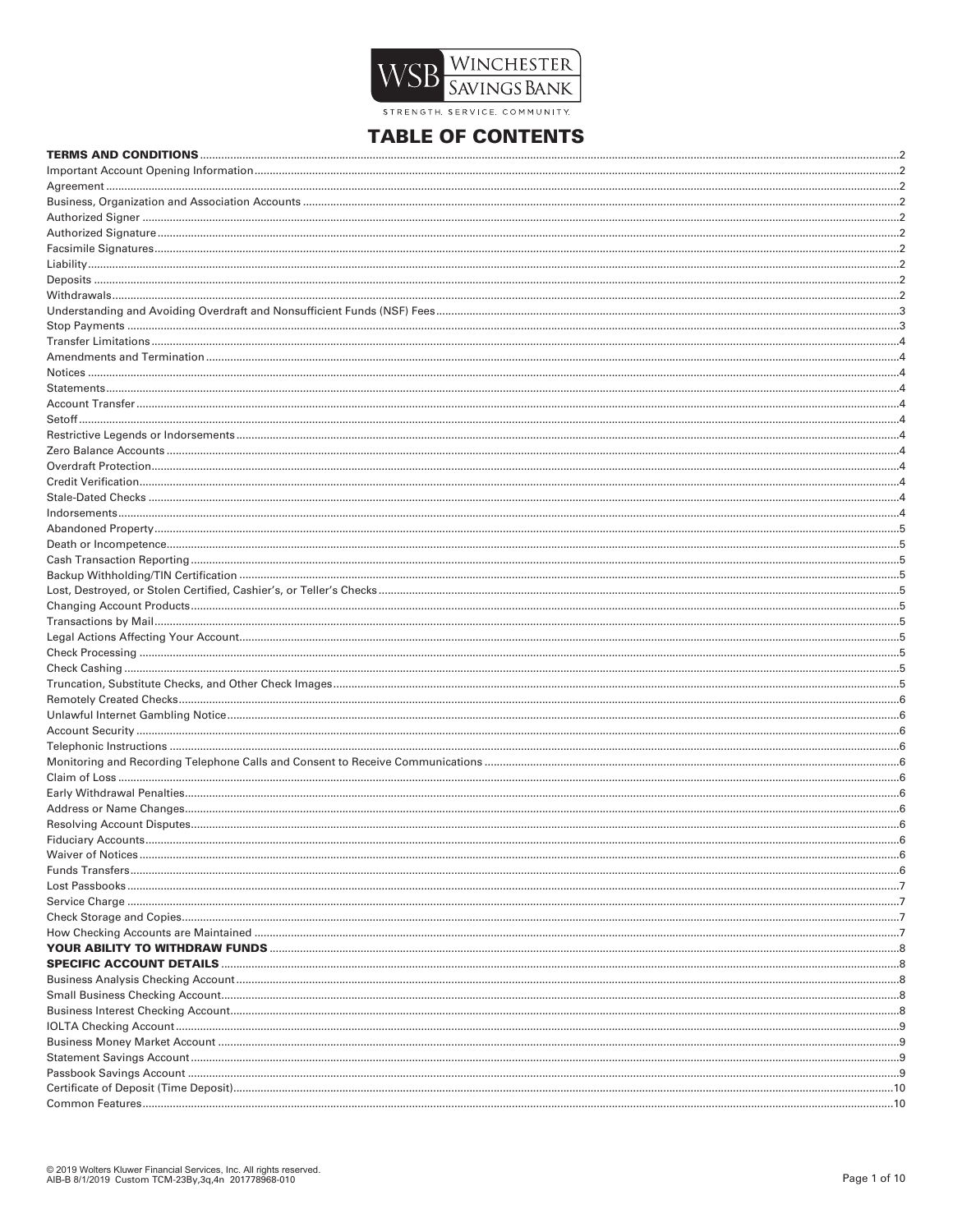

STRENGTH SERVICE COMMUNITY

# **TABLE OF CONTENTS**

| Fiduciary Accounts |  |
|--------------------|--|
|                    |  |
|                    |  |
|                    |  |
|                    |  |
|                    |  |
|                    |  |
|                    |  |
|                    |  |
|                    |  |
|                    |  |
|                    |  |
|                    |  |
|                    |  |
|                    |  |
|                    |  |
|                    |  |
|                    |  |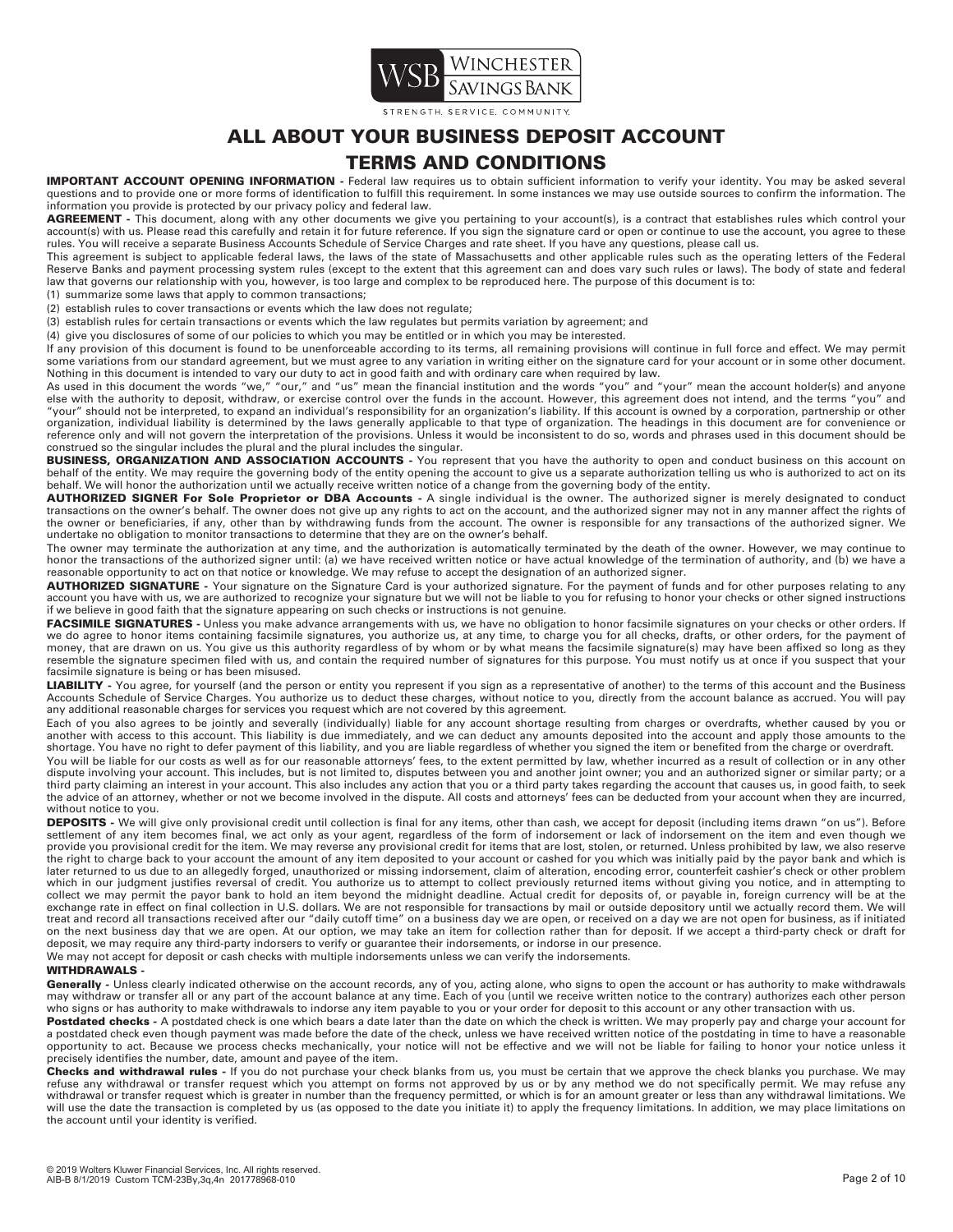

TRENGTH SERVICE COMMUNITY

# **ALL ABOUT YOUR BUSINESS DEPOSIT ACCOUNT**

# **TERMS AND CONDITIONS**

**IMPORTANT ACCOUNT OPENING INFORMATION -** Federal law requires us to obtain sufficient information to verify your identity. You may be asked several questions and to provide one or more forms of identification to fulfill this requirement. In some instances we may use outside sources to confirm the information. The information you provide is protected by our privacy policy and federal law.

AGREEMENT - This document, along with any other documents we give you pertaining to your account(s), is a contract that establishes rules which control your account(s) with us. Please read this carefully and retain it for future reference. If you sign the signature card or open or continue to use the account, you agree to these rules. You will receive a separate Business Accounts Schedule of Service Charges and rate sheet. If you have any questions, please call us.

This agreement is subject to applicable federal laws, the laws of the state of Massachusetts and other applicable rules such as the operating letters of the Federal Reserve Banks and payment processing system rules (except to the extent that this agreement can and does vary such rules or laws). The body of state and federal law that governs our relationship with you, however, is too large and complex to be reproduced here. The purpose of this document is to:

(1) summarize some laws that apply to common transactions;

(2) establish rules to cover transactions or events which the law does not regulate;

(3) establish rules for certain transactions or events which the law regulates but permits variation by agreement; and

(4) give you disclosures of some of our policies to which you may be entitled or in which you may be interested.

If any provision of this document is found to be unenforceable according to its terms, all remaining provisions will continue in full force and effect. We may permit some variations from our standard agreement, but we must agree to any variation in writing either on the signature card for your account or in some other document.<br>Nothing in this document is intended to vary our duty to a

As used in this document the words "we," "our," and "us" mean the financial institution and the words "you" and "your" mean the account holder(s) and anyone<br>else with the authority to deposit, withdraw, or exercise control "your" should not be interpreted, to expand an individual's responsibility for an organization's liability. If this account is owned by a corporation, partnership or other organization, individual liability is determined by the laws generally applicable to that type of organization. The headings in this document are for convenience or reference only and will not govern the interpretation of the provisions. Unless it would be inconsistent to do so, words and phrases used in this document should be construed so the singular includes the plural and the plural includes the singular.

**BUSINESS, ORGANIZATION AND ASSOCIATION ACCOUNTS** - You represent that you have the authority to open and conduct business on this account on behalf of the entity. We may require the governing body of the entity opening the account to give us a separate authorization telling us who is authorized to act on its<br>behalf. We will honor the authorization until we actu

**AUTHORIZED SIGNER For Sole Proprietor or DBA Accounts -** A single individual is the owner. The authorized signer is merely designated to conduct transactions on the owner's behalf. The owner does not give up any rights to act on the account, and the authorized signer may not in any manner affect the rights of<br>the owner or beneficiaries, if any, other than by withdr undertake no obligation to monitor transactions to determine that they are on the owner's behalf.

The owner may terminate the authorization at any time, and the authorization is automatically terminated by the death of the owner. However, we may continue to honor the transactions of the authorized signer until: (a) we have received written notice or have actual knowledge of the termination of authority, and (b) we have a<br>reasonable opportunity to act on that notice or knowled

**AUTHORIZED SIGNATURE -** Your signature on the Signature Card is your authorized signature. For the payment of funds and for other purposes relating to any account you have with us, we are authorized to recognize your signature but we will not be liable to you for refusing to honor your checks or other signed instructions if we believe in good faith that the signature appearing on such checks or instructions is not genuine.

FACSIMILE SIGNATURES - Unless you make advance arrangements with us, we have no obligation to honor facsimile signatures on your checks or other orders. If we do agree to honor items containing facsimile signatures, you authorize us, at any time, to charge you for all checks, drafts, or other orders, for the payment of money, that are drawn on us. You give us this authority regardless of by whom or by what means the facsimile signature(s) may have been affixed so long as they resemble the signature specimen filed with us, and contain the required number of signatures for this purpose. You must notify us at once if you suspect that your facsimile signature is being or has been misused.

LIABILITY - You agree, for yourself (and the person or entity you represent if you sign as a representative of another) to the terms of this account and the Business Accounts Schedule of Service Charges. You authorize us to deduct these charges, without notice to you, directly from the account balance as accrued. You will pay any additional reasonable charges for services you request which are not covered by this agreement.

Each of you also agrees to be jointly and severally (individually) liable for any account shortage resulting from charges or overdrafts, whether caused by you or another with access to this account. This liability is due immediately, and we can deduct any amounts deposited into the account and apply those amounts to the shortage. You have no right to defer payment of this liability, and you are liable regardless of whether you signed the item or benefited from the charge or overdraft.

You will be liable for our costs as well as for our reasonable attorneys' fees, to the extent permitted by law, whether incurred as a result of collection or in any other dispute involving your account. This includes, but is not limited to, disputes between you and another joint owner; you and an authorized signer or similar party; or a<br>third party claiming an interest in your account. This the advice of an attorney, whether or not we become involved in the dispute. All costs and attorneys' fees can be deducted from your account when they are incurred, without notice to you.

**DEPOSITS -** We will give only provisional credit until collection is final for any items, other than cash, we accept for deposit (including items drawn "on us"). Before<br>settlement of any item becomes final, we act only as the right to charge back to your account the amount of any item deposited to your account or cashed for you which was initially paid by the payor bank and which is later returned to us due to an allegedly forged, unauthorized or missing indorsement, claim of alteration, encoding error, counterfeit cashier's check or other problem which in our judgment justifies reversal of credit. You authorize us to attempt to collect previously returned items without giving you notice, and in attempting to collect we may permit the payor bank to hold an item beyond the midnight deadline. Actual credit for deposits of, or payable in, foreign currency will be at the exchange rate in effect on final collection in U.S. dollars. We are not responsible for transactions by mail or outside depository until we actually record them. We will treat and record all transactions received after our "daily cutoff time" on a business day we are open, or received on a day we are not open for business, as if initiated on the next business day that we are open. At our option, we may take an item for collection rather than for deposit. If we accept a third-party check or draft for deposit, we may require any third-party indorsers to verify or guarantee their indorsements, or indorse in our presence.

We may not accept for deposit or cash checks with multiple indorsements unless we can verify the indorsements.

# **WITHDRAWALS -**

Generally - Unless clearly indicated otherwise on the account records, any of you, acting alone, who signs to open the account or has authority to make withdrawals may withdraw or transfer all or any part of the account balance at any time. Each of you (until we receive written notice to the contrary) authorizes each other person who signs or has authority to make withdrawals to indorse any item payable to you or your order for deposit to this account or any other transaction with us.

Postdated checks - A postdated check is one which bears a date later than the date on which the check is written. We may properly pay and charge your account for a postdated check even though payment was made before the date of the check, unless we have received written notice of the postdating in time to have a reasonable opportunity to act. Because we process checks mechanically, your notice will not be effective and we will not be liable for failing to honor your notice unless it precisely identifies the number, date, amount and payee of the item.

**Checks and withdrawal rules -** If you do not purchase your check blanks from us, you must be certain that we approve the check blanks you purchase. We may refuse any withdrawal or transfer request which you attempt on forms not approved by us or by any method we do not specifically permit. We may refuse any withdrawal or transfer request which is greater in number than the frequency permitted, or which is for an amount greater or less than any withdrawal limitations. We will use the date the transaction is completed by us (as opposed to the date you initiate it) to apply the frequency limitations. In addition, we may place limitations on the account until your identity is verified.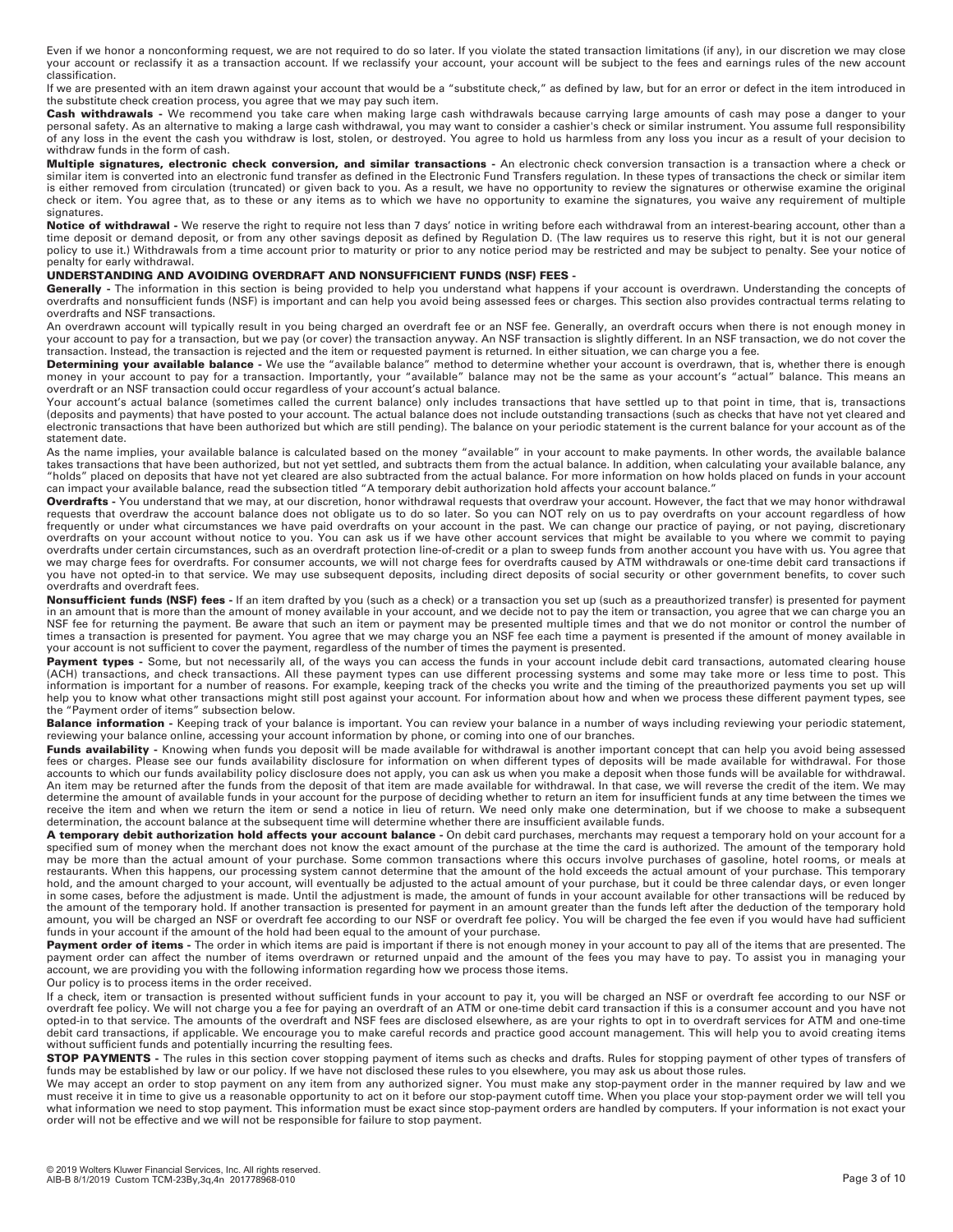Even if we honor a nonconforming request, we are not required to do so later. If you violate the stated transaction limitations (if any), in our discretion we may close your account or reclassify it as a transaction account. If we reclassify your account, your account will be subject to the fees and earnings rules of the new account classification.

If we are presented with an item drawn against your account that would be a "substitute check," as defined by law, but for an error or defect in the item introduced in the substitute check creation process, you agree that we may pay such item.

**Cash withdrawals -** We recommend you take care when making large cash withdrawals because carrying large amounts of cash may pose a danger to your personal safety. As an alternative to making a large cash withdrawal, you may want to consider a cashier's check or similar instrument. You assume full responsibility<br>of any loss in the event the cash you withdraw is lost, withdraw funds in the form of cash.

**Multiple signatures, electronic check conversion, and similar transactions -** An electronic check conversion transaction is a transaction where a check or similar item is converted into an electronic fund transfer as defined in the Electronic Fund Transfers regulation. In these types of transactions the check or similar item is either removed from circulation (truncated) or given back to you. As a result, we have no opportunity to review the signatures or otherwise examine the original check or item. You agree that, as to these or any items as to which we have no opportunity to examine the signatures, you waive any requirement of multiple signatures.

Notice of withdrawal - We reserve the right to require not less than 7 days' notice in writing before each withdrawal from an interest-bearing account, other than a time deposit or demand deposit, or from any other savings deposit as defined by Regulation D. (The law requires us to reserve this right, but it is not our general policy to use it.) Withdrawals from a time account prior to maturity or prior to any notice period may be restricted and may be subject to penalty. See your notice of penalty for early withdrawal.

### **UNDERSTANDING AND AVOIDING OVERDRAFT AND NONSUFFICIENT FUNDS (NSF) FEES -**

Generally - The information in this section is being provided to help you understand what happens if your account is overdrawn. Understanding the concepts of overdrafts and nonsufficient funds (NSF) is important and can help you avoid being assessed fees or charges. This section also provides contractual terms relating to overdrafts and NSF transactions.

An overdrawn account will typically result in you being charged an overdraft fee or an NSF fee. Generally, an overdraft occurs when there is not enough money in your account to pay for a transaction, but we pay (or cover) the transaction anyway. An NSF transaction is slightly different. In an NSF transaction, we do not cover the transaction. Instead, the transaction is rejected and the item or requested payment is returned. In either situation, we can charge you a fee.

**Determining your available balance** - We use the "available balance" method to determine whether your account is overdrawn, that is, whether there is enough<br>money in your account to pay for a transaction. Importantly, you overdraft or an NSF transaction could occur regardless of your account's actual balance.

Your account's actual balance (sometimes called the current balance) only includes transactions that have settled up to that point in time, that is, transactions (deposits and payments) that have posted to your account. The actual balance does not include outstanding transactions (such as checks that have not yet cleared and electronic transactions that have been authorized but which are still pending). The balance on your periodic statement is the current balance for your account as of the statement date.

As the name implies, your available balance is calculated based on the money "available" in your account to make payments. In other words, the available balance takes transactions that have been authorized, but not yet settled, and subtracts them from the actual balance. In addition, when calculating your available balance, any "holds" placed on deposits that have not yet cleared are also subtracted from the actual balance. For more information on how holds placed on funds in your account can impact your available balance, read the subsection titled "A temporary debit authorization hold affects your account balance."

**Overdrafts -** You understand that we may, at our discretion, honor withdrawal requests that overdraw your account. However, the fact that we may honor withdrawal requests that overdraw the account balance does not obligate us to do so later. So you can NOT rely on us to pay overdrafts on your account regardless of how frequently or under what circumstances we have paid overdrafts on your account in the past. We can change our practice of paying, or not paying, discretionary overdrafts on your account without notice to you. You can ask us if we have other account services that might be available to you where we commit to paying overdrafts under certain circumstances, such as an overdraft protection line-of-credit or a plan to sweep funds from another account you have with us. You agree that we may charge fees for overdrafts. For consumer accounts, we will not charge fees for overdrafts caused by ATM withdrawals or one-time debit card transactions if you have not opted-in to that service. We may use subsequent deposits, including direct deposits of social security or other government benefits, to cover such overdrafts and overdraft fees.

**Nonsufficient funds (NSF) fees -** If an item drafted by you (such as a check) or a transaction you set up (such as a preauthorized transfer) is presented for payment<br>in an amount that is more than the amount of money avai NSF fee for returning the payment. Be aware that such an item or payment may be presented multiple times and that we do not monitor or control the number of times a transaction is presented for payment. You agree that we may charge you an NSF fee each time a payment is presented if the amount of money available in your account is not sufficient to cover the payment, regardless of the number of times the payment is presented.

**Payment types** - Some, but not necessarily all, of the ways you can access the funds in your account include debit card transactions, automated clearing house<br>(ACH) transactions, and check transactions. All these payment information is important for a number of reasons. For example, keeping track of the checks you write and the timing of the preauthorized payments you set up will help you to know what other transactions might still post against your account. For information about how and when we process these different payment types, see the "Payment order of items" subsection below.

Balance information - Keeping track of your balance is important. You can review your balance in a number of ways including reviewing your periodic statement, reviewing your balance online, accessing your account information by phone, or coming into one of our branches.

Funds availability - Knowing when funds you deposit will be made available for withdrawal is another important concept that can help you avoid being assessed fees or charges. Please see our funds availability disclosure for information on when different types of deposits will be made available for withdrawal. For those accounts to which our funds availability policy disclosure does not apply, you can ask us when you make a deposit when those funds will be available for withdrawal. An item may be returned after the funds from the deposit of that item are made available for withdrawal. In that case, we will reverse the credit of the item. We may<br>determine the amount of available funds in your account determination, the account balance at the subsequent time will determine whether there are insufficient available funds.

**A temporary debit authorization hold affects your account balance -** On debit card purchases, merchants may request a temporary hold on your account for a specified sum of money when the merchant does not know the exact amount of the purchase at the time the card is authorized. The amount of the temporary hold may be more than the actual amount of your purchase. Some common transactions where this occurs involve purchases of gasoline, hotel rooms, or meals at restaurants. When this happens, our processing system cannot determine that the amount of the hold exceeds the actual amount of your purchase. This temporary hold, and the amount charged to your account, will eventually be adjusted to the actual amount of your purchase, but it could be three calendar days, or even longer<br>in some cases, before the adjustment is made. Until the a the amount of the temporary hold. If another transaction is presented for payment in an amount greater than the funds left after the deduction of the temporary hold amount, you will be charged an NSF or overdraft fee according to our NSF or overdraft fee policy. You will be charged the fee even if you would have had sufficient funds in your account if the amount of the hold had been equal to the amount of your purchase.

**Payment order of items -** The order in which items are paid is important if there is not enough money in your account to pay all of the items that are presented. The<br>payment order can affect the number of items overdrawn account, we are providing you with the following information regarding how we process those items.

Our policy is to process items in the order received.

If a check, item or transaction is presented without sufficient funds in your account to pay it, you will be charged an NSF or overdraft fee according to our NSF or overdraft fee policy. We will not charge you a fee for paying an overdraft of an ATM or one-time debit card transaction if this is a consumer account and you have not<br>opted-in to that service. The amounts of the overdraft debit card transactions, if applicable. We encourage you to make careful records and practice good account management. This will help you to avoid creating items without sufficient funds and potentially incurring the resulting fees.

**STOP PAYMENTS -** The rules in this section cover stopping payment of items such as checks and drafts. Rules for stopping payment of other types of transfers of funds may be established by law or our policy. If we have not disclosed these rules to you elsewhere, you may ask us about those rules.

We may accept an order to stop payment on any item from any authorized signer. You must make any stop-payment order in the manner required by law and we must receive it in time to give us a reasonable opportunity to act on it before our stop-payment cutoff time. When you place your stop-payment order we will tell you what information we need to stop payment. This information must be exact since stop-payment orders are handled by computers. If your information is not exact your order will not be effective and we will not be responsible for failure to stop payment.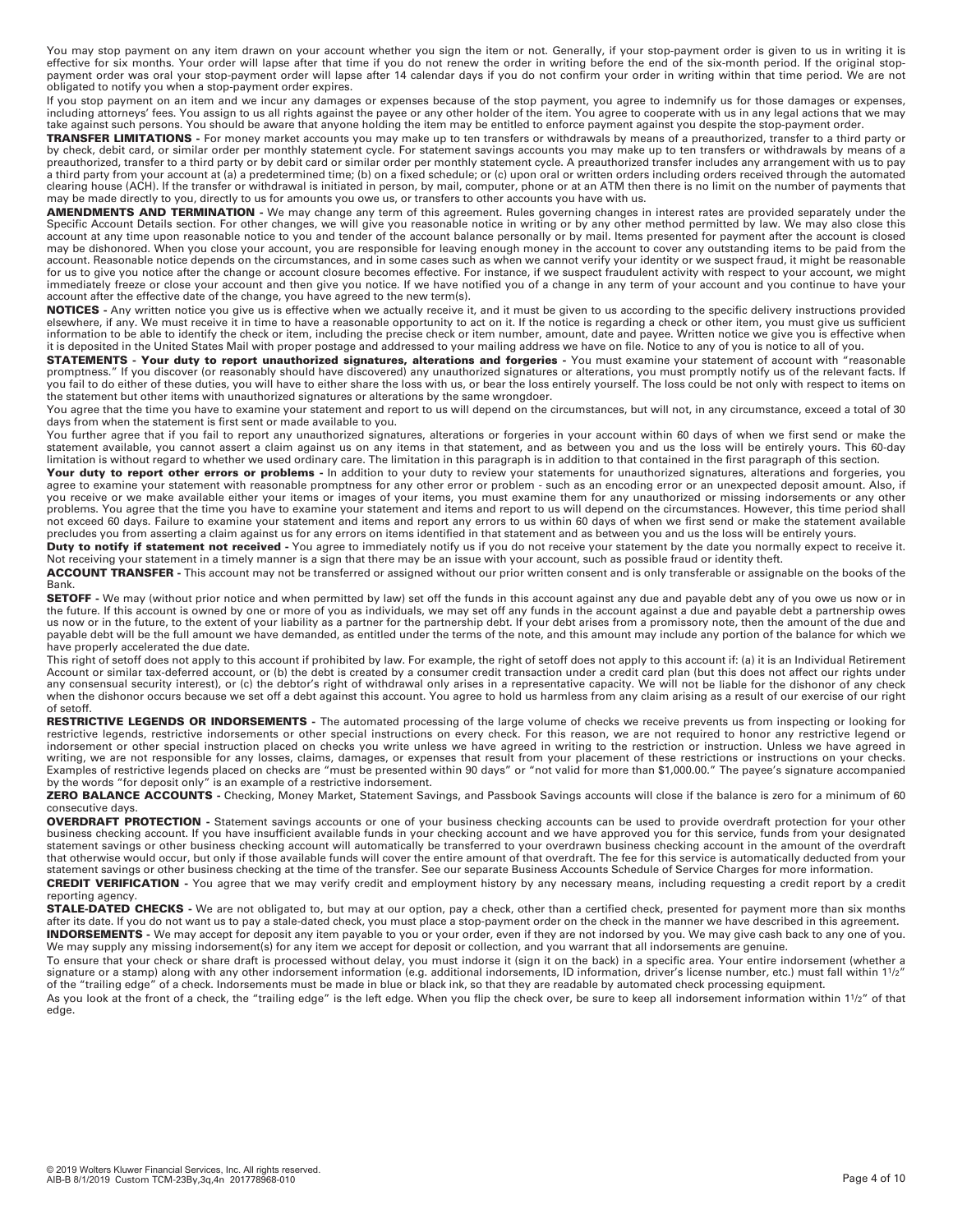You may stop payment on any item drawn on your account whether you sign the item or not. Generally, if your stop-payment order is given to us in writing it is<br>effective for six months. Your order will lapse after that time payment order was oral your stop-payment order will lapse after 14 calendar days if you do not confirm your order in writing within that time period. We are not obligated to notify you when a stop-payment order expires.

If you stop payment on an item and we incur any damages or expenses because of the stop payment, you agree to indemnify us for those damages or expenses,<br>including attorneys' fees. You assign to us all rights against the p take against such persons. You should be aware that anyone holding the item may be entitled to enforce payment against you despite the stop-payment order.

**TRANSFER LIMITATIONS** - For money market accounts you may make up to ten transfers or withdrawals by means of a preauthorized, transfer to a third party or<br>by check, debit card, or similar order per monthly statement cycl preauthorized, transfer to a third party or by debit card or similar order per monthly statement cycle. A preauthorized transfer includes any arrangement with us to pay a third party from your account at (a) a predetermined time; (b) on a fixed schedule; or (c) upon oral or written orders including orders received through the automated clearing house (ACH). If the transfer or withdrawal is initiated in person, by mail, computer, phone or at an ATM then there is no limit on the number of payments that may be made directly to you, directly to us for amounts you owe us, or transfers to other accounts you have with us.

**AMENDMENTS AND TERMINATION -** We may change any term of this agreement. Rules governing changes in interest rates are provided separately under the Specific Account Details section. For other changes, we will give you reasonable notice in writing or by any other method permitted by law. We may also close this account at any time upon reasonable notice to you and tender of the account balance personally or by mail. Items presented for payment after the account is closed may be dishonored. When you close your account, you are responsible for leaving enough money in the account to cover any outstanding items to be paid from the account. Reasonable notice depends on the circumstances, and in some cases such as when we cannot verify your identity or we suspect fraud, it might be reasonable for us to give you notice after the change or account closure becomes effective. For instance, if we suspect fraudulent activity with respect to your account, we might immediately freeze or close your account and then give you notice. If we have notified you of a change in any term of your account and you continue to have your account after the effective date of the change, you have agreed to the new term(s).

**NOTICES -** Any written notice you give us is effective when we actually receive it, and it must be given to us according to the specific delivery instructions provided elsewhere, if any. We must receive it in time to have a reasonable opportunity to act on it. If the notice is regarding a check or other item, you must give us sufficient information to be able to identify the check or item, including the precise check or item number, amount, date and payee. Written notice we give you is effective when it is deposited in the United States Mail with proper postage and addressed to your mailing address we have on file. Notice to any of you is notice to all of you.

**STATEMENTS - Your duty to report unauthorized signatures, alterations and forgeries - You must examine your statement of account with "reasonable** promptness." If you discover (or reasonably should have discovered) any unauthorized signatures or alterations, you must promptly notify us of the relevant facts. If you fail to do either of these duties, you will have to either share the loss with us, or bear the loss entirely yourself. The loss could be not only with respect to items on the statement but other items with unauthorized signatures or alterations by the same wrongdoer.

You agree that the time you have to examine your statement and report to us will depend on the circumstances, but will not, in any circumstance, exceed a total of 30 days from when the statement is first sent or made available to you.

You further agree that if you fail to report any unauthorized signatures, alterations or forgeries in your account within 60 days of when we first send or make the statement available, you cannot assert a claim against us on any items in that statement, and as between you and us the loss will be entirely yours. This 60-day limitation is without regard to whether we used ordinary care. The limitation in this paragraph is in addition to that contained in the first paragraph of this section.

Your duty to report other errors or problems - In addition to your duty to review your statements for unauthorized signatures, alterations and forgeries, you agree to examine your statement with reasonable promptness for any other error or problem - such as an encoding error or an unexpected deposit amount. Also, if you receive or we make available either your items or images of your items, you must examine them for any unauthorized or missing indorsements or any other problems. You agree that the time you have to examine your statement and items and report to us will depend on the circumstances. However, this time period shall not exceed 60 days. Failure to examine your statement and items and report any errors to us within 60 days of when we first send or make the statement available precludes you from asserting a claim against us for any errors on items identified in that statement and as between you and us the loss will be entirely yours.

**Duty to notify if statement not received** - You agree to immediately notify us if you do not receive your statement by the date you normally expect to receive it. Not receiving your statement in a timely manner is a sign that there may be an issue with your account, such as possible fraud or identity theft.

**ACCOUNT TRANSFER -** This account may not be transferred or assigned without our prior written consent and is only transferable or assignable on the books of the Bank.

**SETOFF** - We may (without prior notice and when permitted by law) set off the funds in this account against any due and payable debt any of you owe us now or in the future. If this account is owned by one or more of you as individuals, we may set off any funds in the account against a due and payable debt a partnership owes us now or in the future, to the extent of your liability as a partner for the partnership debt. If your debt arises from a promissory note, then the amount of the due and payable debt will be the full amount we have demanded, as entitled under the terms of the note, and this amount may include any portion of the balance for which we have properly accelerated the due date.

This right of setoff does not apply to this account if prohibited by law. For example, the right of setoff does not apply to this account if: (a) it is an Individual Retirement Account or similar tax-deferred account, or (b) the debt is created by a consumer credit transaction under a credit card plan (but this does not affect our rights under any consensual security interest), or (c) the debtor's right of withdrawal only arises in a representative capacity. We will not be liable for the dishonor of any check when the dishonor occurs because we set off a debt against this account. You agree to hold us harmless from any claim arising as a result of our exercise of our right of setoff.

**RESTRICTIVE LEGENDS OR INDORSEMENTS -** The automated processing of the large volume of checks we receive prevents us from inspecting or looking for restrictive legends, restrictive indorsements or other special instructions on every check. For this reason, we are not required to honor any restrictive legend or indorsement or other special instruction placed on checks you write unless we have agreed in writing to the restriction or instruction. Unless we have agreed in writing, we are not responsible for any losses, claims, damages, or expenses that result from your placement of these restrictions or instructions on your checks. Examples of restrictive legends placed on checks are "must be presented within 90 days" or "not valid for more than \$1,000.00." The payee's signature accompanied<br>by the words "for deposit only" is an example of a restricti

**ZERO BALANCE ACCOUNTS -** Checking, Money Market, Statement Savings, and Passbook Savings accounts will close if the balance is zero for a minimum of 60 consecutive days.

**OVERDRAFT PROTECTION -** Statement savings accounts or one of your business checking accounts can be used to provide overdraft protection for your other business checking account. If you have insufficient available funds in your checking account and we have approved you for this service, funds from your designated statement savings or other business checking account will automatically be transferred to your overdrawn business checking account in the amount of the overdraft that otherwise would occur, but only if those available funds will cover the entire amount of that overdraft. The fee for this service is automatically deducted from your statement savings or other business checking at the time of the transfer. See our separate Business Accounts Schedule of Service Charges for more information.

**CREDIT VERIFICATION -** You agree that we may verify credit and employment history by any necessary means, including requesting a credit report by a credit reporting agency.

**STALE-DATED CHECKS -** We are not obligated to, but may at our option, pay a check, other than a certified check, presented for payment more than six months after its date. If you do not want us to pay a stale-dated check, you must place a stop-payment order on the check in the manner we have described in this agreement. **INDORSEMENTS -** We may accept for deposit any item payable to you or your order, even if they are not indorsed by you. We may give cash back to any one of you. We may supply any missing indorsement(s) for any item we accept for deposit or collection, and you warrant that all indorsements are genuine.

To ensure that your check or share draft is processed without delay, you must indorse it (sign it on the back) in a specific area. Your entire indorsement (whether a signature or a stamp) along with any other indorsement information (e.g. additional indorsements, ID information, driver's license number, etc.) must fall within 11/2" of the "trailing edge" of a check. Indorsements must be made in blue or black ink, so that they are readable by automated check processing equipment.

As you look at the front of a check, the "trailing edge" is the left edge. When you flip the check over, be sure to keep all indorsement information within 11/2" of that edge.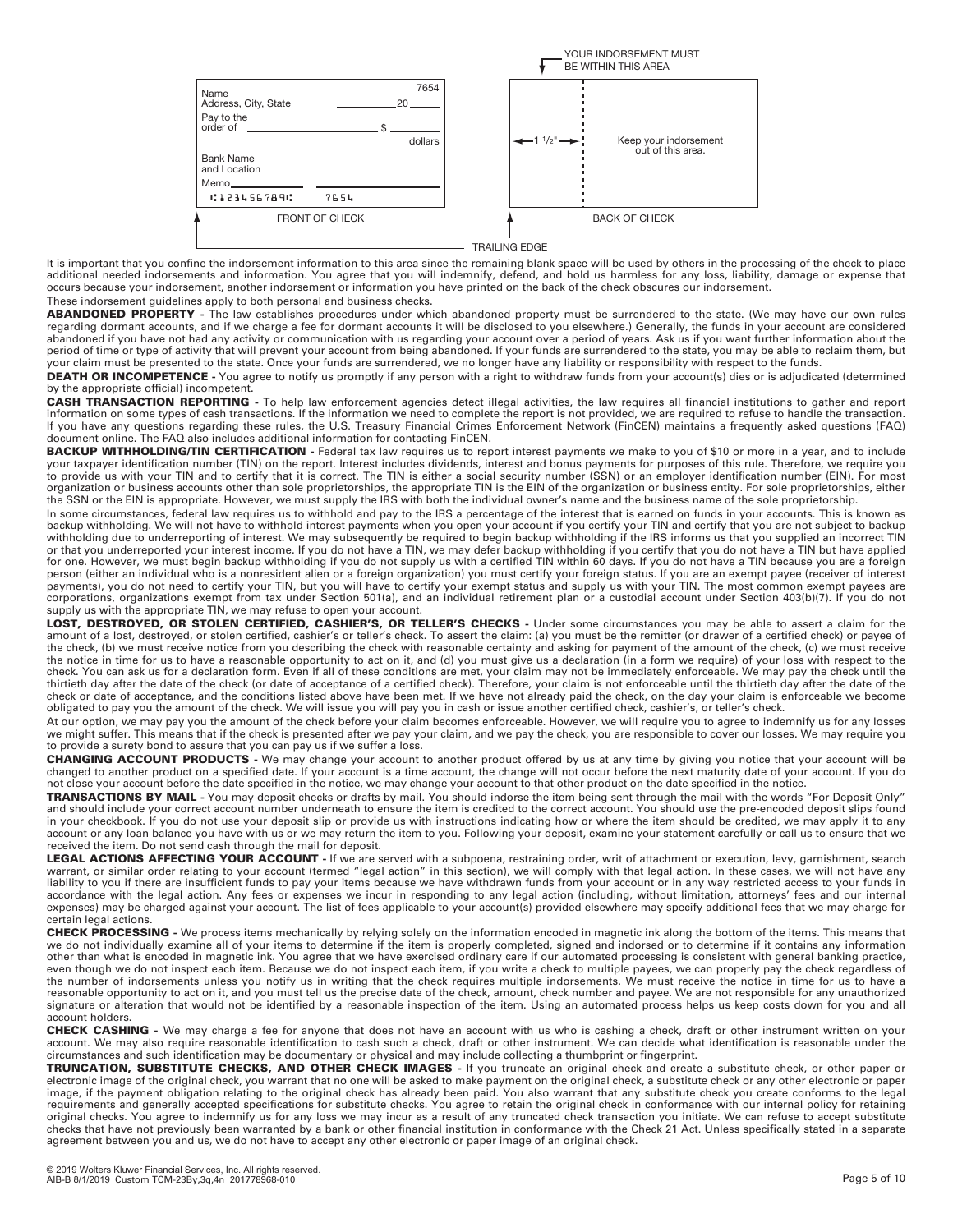

It is important that you confine the indorsement information to this area since the remaining blank space will be used by others in the processing of the check to place additional needed indorsements and information. You agree that you will indemnify, defend, and hold us harmless for any loss, liability, damage or expense that occurs because your indorsement, another indorsement or information you have printed on the back of the check obscures our indorsement. These indorsement guidelines apply to both personal and business checks.

ABANDONED PROPERTY - The law establishes procedures under which abandoned property must be surrendered to the state. (We may have our own rules regarding dormant accounts, and if we charge a fee for dormant accounts it will be disclosed to you elsewhere.) Generally, the funds in your account are considered abandoned if you have not had any activity or communication with us regarding your account over a period of years. Ask us if you want further information about the period of time or type of activity that will prevent your account from being abandoned. If your funds are surrendered to the state, you may be able to reclaim them, but<br>your claim must be presented to the state. Once your

DEATH OR INCOMPETENCE - You agree to notify us promptly if any person with a right to withdraw funds from your account(s) dies or is adjudicated (determined by the appropriate official) incompetent.

**CASH TRANSACTION REPORTING -** To help law enforcement agencies detect illegal activities, the law requires all financial institutions to gather and report information on some types of cash transactions. If the information we need to complete the report is not provided, we are required to refuse to handle the transaction. If you have any questions regarding these rules, the U.S. Treasury Financial Crimes Enforcement Network (FinCEN) maintains a frequently asked questions (FAQ) document online. The FAQ also includes additional information for contacting FinCEN.

**BACKUP WITHHOLDING/TIN CERTIFICATION -** Federal tax law requires us to report interest payments we make to you of \$10 or more in a year, and to include your taxpayer identification number (TIN) on the report. Interest includes dividends, interest and bonus payments for purposes of this rule. Therefore, we require you to provide us with your TIN and to certify that it is correct. The TIN is either a social security number (SSN) or an employer identification number (EIN). For most organization or business accounts other than sole proprietorships, the appropriate TIN is the EIN of the organization or business entity. For sole proprietorships, either the SSN or the EIN is appropriate. However, we must supply the IRS with both the individual owner's name and the business name of the sole proprietorship.

In some circumstances, federal law requires us to withhold and pay to the IRS a percentage of the interest that is earned on funds in your accounts. This is known as backup withholding. We will not have to withhold interest payments when you open your account if you certify your TIN and certify that you are not subject to backup<br>withholding due to underreporting of interest. We may sub or that you underreported your interest income. If you do not have a TIN, we may defer backup withholding if you certify that you do not have a TIN but have applied for one. However, we must begin backup withholding if you do not supply us with a certified TIN within 60 days. If you do not have a TIN because you are a foreign person (either an individual who is a nonresident alien or a foreign organization) you must certify your foreign status. If you are an exempt payee (receiver of interest payments), you do not need to certify your TIN, but you will have to certify your exempt status and supply us with your TIN. The most common exempt payees are corporations, organizations exempt from tax under Section 501(a), and an individual retirement plan or a custodial account under Section 403(b)(7). If you do not supply us with the appropriate TIN, we may refuse to open your account.

**LOST, DESTROYED, OR STOLEN CERTIFIED, CASHIER'S, OR TELLER'S CHECKS -** Under some circumstances you may be able to assert a claim for the amount of a lost, destroyed, or stolen certified, cashier's or teller's check. To assert the claim: (a) you must be the remitter (or drawer of a certified check) or payee of the check, (b) we must receive notice from you describing the check with reasonable certainty and asking for payment of the amount of the check, (c) we must receive the notice in time for us to have a reasonable opportunity to act on it, and (d) you must give us a declaration (in a form we require) of your loss with respect to the check. You can ask us for a declaration form. Even if all of these conditions are met, your claim may not be immediately enforceable. We may pay the check until the thirtieth day after the date of the check (or date of acceptance of a certified check). Therefore, your claim is not enforceable until the thirtieth day after the date of the check or date of acceptance, and the conditions listed above have been met. If we have not already paid the check, on the day your claim is enforceable we become obligated to pay you the amount of the check. We will issue you will pay you in cash or issue another certified check, cashier's, or teller's check.

At our option, we may pay you the amount of the check before your claim becomes enforceable. However, we will require you to agree to indemnify us for any losses we might suffer. This means that if the check is presented after we pay your claim, and we pay the check, you are responsible to cover our losses. We may require you to provide a surety bond to assure that you can pay us if we suffer a loss.

**CHANGING ACCOUNT PRODUCTS -** We may change your account to another product offered by us at any time by giving you notice that your account will be changed to another product on a specified date. If your account is a time account, the change will not occur before the next maturity date of your account. If you do not close your account before the date specified in the notice, we may change your account to that other product on the date specified in the notice.

**TRANSACTIONS BY MAIL -** You may deposit checks or drafts by mail. You should indorse the item being sent through the mail with the words "For Deposit Only" and should include your correct account number underneath to ensure the item is credited to the correct account. You should use the pre-encoded deposit slips found in your checkbook. If you do not use your deposit slip or provide us with instructions indicating how or where the item should be credited, we may apply it to any account or any loan balance you have with us or we may return the item to you. Following your deposit, examine your statement carefully or call us to ensure that we received the item. Do not send cash through the mail for deposit.

**LEGAL ACTIONS AFFECTING YOUR ACCOUNT** - If we are served with a subpoena, restraining order, writ of attachment or execution, levy, garnishment, search<br>warrant, or similar order relating to your account (termed "legal act liability to you if there are insufficient funds to pay your items because we have withdrawn funds from your account or in any way restricted access to your funds in accordance with the legal action. Any fees or expenses we incur in responding to any legal action (including, without limitation, attorneys' fees and our internal expenses) may be charged against your account. The list of fees applicable to your account(s) provided elsewhere may specify additional fees that we may charge for certain legal actions.

**CHECK PROCESSING** - We process items mechanically by relying solely on the information encoded in magnetic ink along the bottom of the items. This means that<br>we do not individually examine all of your items to determine i other than what is encoded in magnetic ink. You agree that we have exercised ordinary care if our automated processing is consistent with general banking practice, even though we do not inspect each item. Because we do not inspect each item, if you write a check to multiple payees, we can properly pay the check regardless of the number of indorsements unless you notify us in writing that the check requires multiple indorsements. We must receive the notice in time for us to have a reasonable opportunity to act on it, and you must tell us the precise date of the check, amount, check number and payee. We are not responsible for any unauthorized signature or alteration that would not be identified by a reasonable inspection of the item. Using an automated process helps us keep costs down for you and all account holders.

**CHECK CASHING -** We may charge a fee for anyone that does not have an account with us who is cashing a check, draft or other instrument written on your account. We may also require reasonable identification to cash such a check, draft or other instrument. We can decide what identification is reasonable under the circumstances and such identification may be documentary or physical and may include collecting a thumbprint or fingerprint.

**TRUNCATION, SUBSTITUTE CHECKS, AND OTHER CHECK IMAGES -** If you truncate an original check and create a substitute check, or other paper or electronic image of the original check, you warrant that no one will be asked to make payment on the original check, a substitute check or any other electronic or paper<br>image, if the payment obligation relating to the orig original checks. You agree to indemnify us for any loss we may incur as a result of any truncated check transaction you initiate. We can refuse to accept substitute checks that have not previously been warranted by a bank or other financial institution in conformance with the Check 21 Act. Unless specifically stated in a separate agreement between you and us, we do not have to accept any other electronic or paper image of an original check.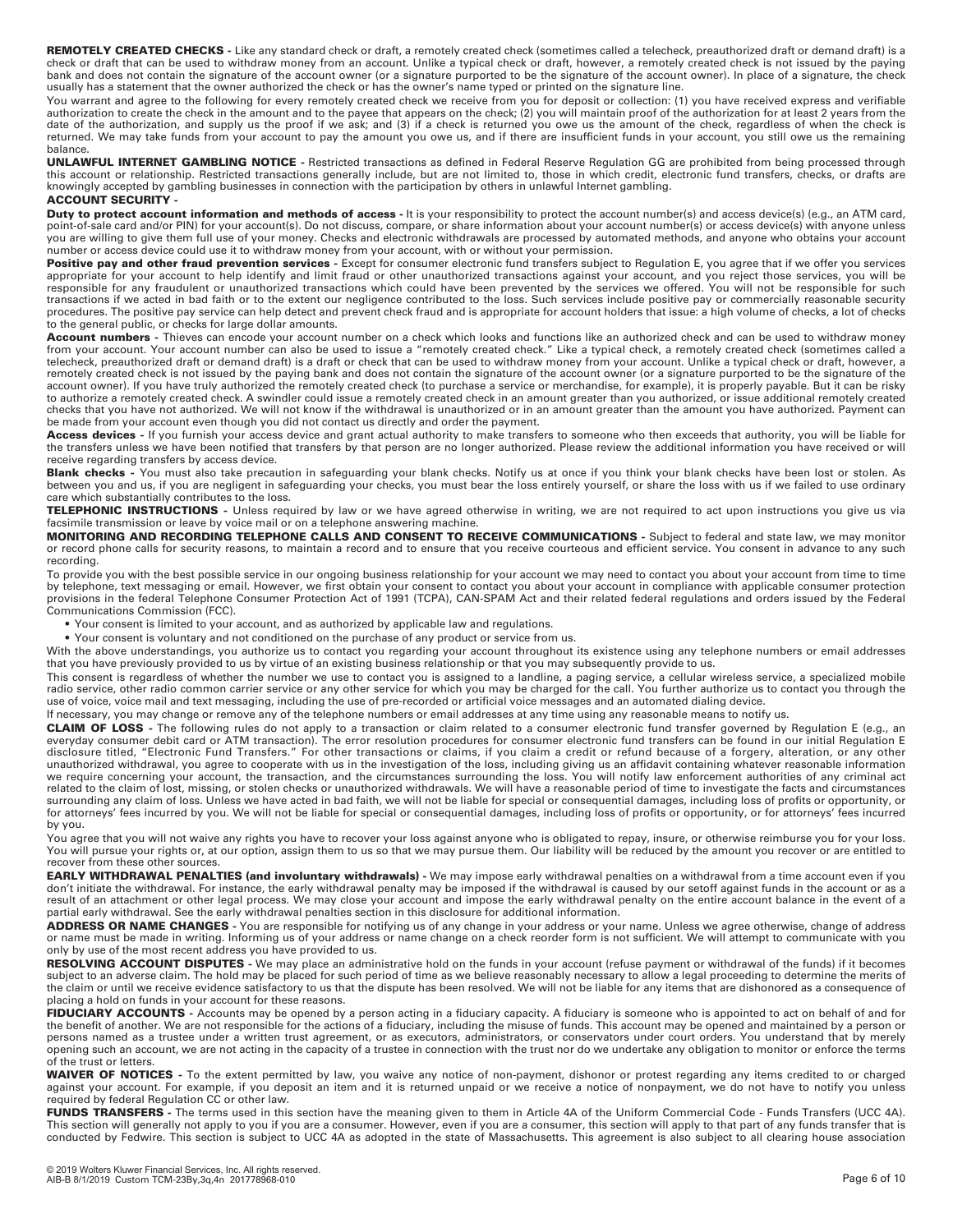**REMOTELY CREATED CHECKS** - Like any standard check or draft, a remotely created check (sometimes called a telecheck, preauthorized draft or demand draft) is a<br>check or draft that can be used to withdraw money from an acco bank and does not contain the signature of the account owner (or a signature purported to be the signature of the account owner). In place of a signature, the check usually has a statement that the owner authorized the check or has the owner's name typed or printed on the signature line.

You warrant and agree to the following for every remotely created check we receive from you for deposit or collection: (1) you have received express and verifiable<br>authorization to create the check in the amount and to the returned. We may take funds from your account to pay the amount you owe us, and if there are insufficient funds in your account, you still owe us the remaining balance.

**UNLAWFUL INTERNET GAMBLING NOTICE -** Restricted transactions as defined in Federal Reserve Regulation GG are prohibited from being processed through this account or relationship. Restricted transactions generally include, but are not limited to, those in which credit, electronic fund transfers, checks, or drafts are<br>knowingly accepted by gambling businesses in connecti

## **ACCOUNT SECURITY -**

**Duty to protect account information and methods of access** - It is your responsibility to protect the account number(s) and access device(s) (e.g., an ATM card, point-of-sale card and/or PIN) for your account(s). Do not discuss, compare, or share information about your account number(s) or access device(s) with anyone unless you are willing to give them full use of your money. Checks and electronic withdrawals are processed by automated methods, and anyone who obtains your account number or access device could use it to withdraw money from your account, with or without your permission.

Positive pay and other fraud prevention services - Except for consumer electronic fund transfers subject to Regulation E, you agree that if we offer you services appropriate for your account to help identify and limit fraud or other unauthorized transactions against your account, and you reject those services, you will be<br>responsible for any fraudulent or unauthorized transactions transactions if we acted in bad faith or to the extent our negligence contributed to the loss. Such services include positive pay or commercially reasonable security procedures. The positive pay service can help detect and prevent check fraud and is appropriate for account holders that issue: a high volume of checks, a lot of checks to the general public, or checks for large dollar amounts.

**Account numbers** - Thieves can encode your account number on a check which looks and functions like an authorized check and can be used to withdraw money<br>from your account. Your account number can also be used to issue a telecheck, preauthorized draft or demand draft) is a draft or check that can be used to withdraw money from your account. Unlike a typical check or draft, however, a remotely created check is not issued by the paying bank and does not contain the signature of the account owner (or a signature purported to be the signature of the account owner). If you have truly authorized the remotely created check (to purchase a service or merchandise, for example), it is properly payable. But it can be risky to authorize a remotely created check. A swindler could issue a remotely created check in an amount greater than you authorized, or issue additional remotely created checks that you have not authorized. We will not know if the withdrawal is unauthorized or in an amount greater than the amount you have authorized. Payment can be made from your account even though you did not contact us directly and order the payment.

**Access devices -** If you furnish your access device and grant actual authority to make transfers to someone who then exceeds that authority, you will be liable for the transfers unless we have been notified that transfers by that person are no longer authorized. Please review the additional information you have received or will receive regarding transfers by access device.

**Blank checks** - You must also take precaution in safeguarding your blank checks. Notify us at once if you think your blank checks have been lost or stolen. As<br>between you and us, if you are negligent in safeguarding your care which substantially contributes to the loss.

**TELEPHONIC INSTRUCTIONS -** Unless required by law or we have agreed otherwise in writing, we are not required to act upon instructions you give us via facsimile transmission or leave by voice mail or on a telephone answering machine.

**MONITORING AND RECORDING TELEPHONE CALLS AND CONSENT TO RECEIVE COMMUNICATIONS** - Subject to federal and state law, we may monitor or record phone calls for security reasons, to maintain a record and to ensure that you receive courteous and efficient service. You consent in advance to any such recording.

To provide you with the best possible service in our ongoing business relationship for your account we may need to contact you about your account from time to time by telephone, text messaging or email. However, we first obtain your consent to contact you about your account in compliance with applicable consumer protection provisions in the federal Telephone Consumer Protection Act of 1991 (TCPA), CAN-SPAM Act and their related federal regulations and orders issued by the Federal Communications Commission (FCC).

• Your consent is limited to your account, and as authorized by applicable law and regulations.

• Your consent is voluntary and not conditioned on the purchase of any product or service from us.

With the above understandings, you authorize us to contact you regarding your account throughout its existence using any telephone numbers or email addresses that you have previously provided to us by virtue of an existing business relationship or that you may subsequently provide to us.

This consent is regardless of whether the number we use to contact you is assigned to a landline, a paging service, a cellular wireless service, a specialized mobile radio service, other radio common carrier service or any other service for which you may be charged for the call. You further authorize us to contact you through the use of voice, voice mail and text messaging, including the use of pre-recorded or artificial voice messages and an automated dialing device.

If necessary, you may change or remove any of the telephone numbers or email addresses at any time using any reasonable means to notify us.

**CLAIM OF LOSS -** The following rules do not apply to a transaction or claim related to a consumer electronic fund transfer governed by Regulation E (e.g., an everyday consumer debit card or ATM transaction). The error resolution procedures for consumer electronic fund transfers can be found in our initial Regulation E<br>disclosure titled, "Electronic Fund Transfers." For other tr related to the claim of lost, missing, or stolen checks or unauthorized withdrawals. We will have a reasonable period of time to investigate the facts and circumstances surrounding any claim of loss. Unless we have acted in bad faith, we will not be liable for special or consequential damages, including loss of profits or opportunity, or for attorneys' fees incurred by you. We will not be liable for special or consequential damages, including loss of profits or opportunity, or for attorneys' fees incurred by you.

You agree that you will not waive any rights you have to recover your loss against anyone who is obligated to repay, insure, or otherwise reimburse you for your loss. You will pursue your rights or, at our option, assign them to us so that we may pursue them. Our liability will be reduced by the amount you recover or are entitled to recover from these other sources.

**EARLY WITHDRAWAL PENALTIES (and involuntary withdrawals)** - We may impose early withdrawal penalties on a withdrawal from a time account even if you don't initiate the withdrawal. For instance, the early withdrawal penalty may be imposed if the withdrawal is caused by our setoff against funds in the account or as a result of an attachment or other legal process. We may close your account and impose the early withdrawal penalty on the entire account balance in the event of a partial early withdrawal. See the early withdrawal penalties section in this disclosure for additional information.

**ADDRESS OR NAME CHANGES -** You are responsible for notifying us of any change in your address or your name. Unless we agree otherwise, change of address or name must be made in writing. Informing us of your address or name change on a check reorder form is not sufficient. We will attempt to communicate with you only by use of the most recent address you have provided to us.

**RESOLVING ACCOUNT DISPUTES -** We may place an administrative hold on the funds in your account (refuse payment or withdrawal of the funds) if it becomes subject to an adverse claim. The hold may be placed for such period of time as we believe reasonably necessary to allow a legal proceeding to determine the merits of the claim or until we receive evidence satisfactory to us that the dispute has been resolved. We will not be liable for any items that are dishonored as a consequence of placing a hold on funds in your account for these reasons.

FIDUCIARY ACCOUNTS - Accounts may be opened by a person acting in a fiduciary capacity. A fiduciary is someone who is appointed to act on behalf of and for the benefit of another. We are not responsible for the actions of a fiduciary, including the misuse of funds. This account may be opened and maintained by a person or persons named as a trustee under a written trust agreement, or as executors, administrators, or conservators under court orders. You understand that by merely opening such an account, we are not acting in the capacity of a trustee in connection with the trust nor do we undertake any obligation to monitor or enforce the terms of the trust or letters.

**WAIVER OF NOTICES -** To the extent permitted by law, you waive any notice of non-payment, dishonor or protest regarding any items credited to or charged against your account. For example, if you deposit an item and it is returned unpaid or we receive a notice of nonpayment, we do not have to notify you unless required by federal Regulation CC or other law.

**FUNDS TRANSFERS -** The terms used in this section have the meaning given to them in Article 4A of the Uniform Commercial Code - Funds Transfers (UCC 4A). This section will generally not apply to you if you are a consumer. However, even if you are a consumer, this section will apply to that part of any funds transfer that is conducted by Fedwire. This section is subject to UCC 4A as adopted in the state of Massachusetts. This agreement is also subject to all clearing house association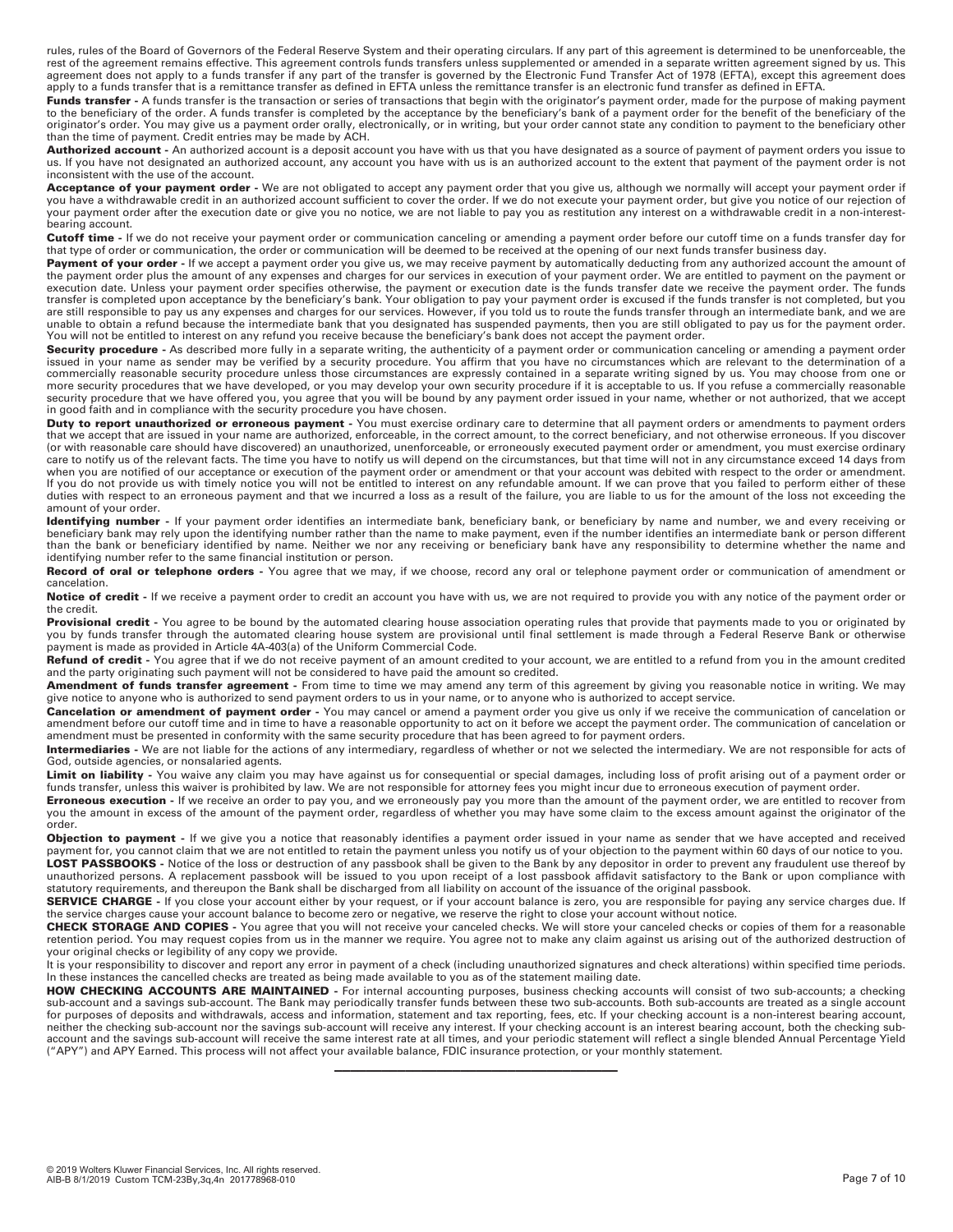rules, rules of the Board of Governors of the Federal Reserve System and their operating circulars. If any part of this agreement is determined to be unenforceable, the<br>rest of the agreement remains effective. This agreeme agreement does not apply to a funds transfer if any part of the transfer is governed by the Electronic Fund Transfer Act of 1978 (EFTA), except this agreement does apply to a funds transfer that is a remittance transfer as defined in EFTA unless the remittance transfer is an electronic fund transfer as defined in EFTA.

Funds transfer - A funds transfer is the transaction or series of transactions that begin with the originator's payment order, made for the purpose of making payment to the beneficiary of the order. A funds transfer is completed by the acceptance by the beneficiary's bank of a payment order for the benefit of the beneficiary of the originator's order. You may give us a payment order orally, electronically, or in writing, but your order cannot state any condition to payment to the beneficiary other than the time of payment. Credit entries may be made by ACH.

Authorized account - An authorized account is a deposit account you have with us that you have designated as a source of payment of payment orders you issue to us. If you have not designated an authorized account, any account you have with us is an authorized account to the extent that payment of the payment order is not inconsistent with the use of the account.

**Acceptance of your payment order -** We are not obligated to accept any payment order that you give us, although we normally will accept your payment order if you have a withdrawable credit in an authorized account sufficient to cover the order. If we do not execute your payment order, but give you notice of our rejection of your payment order after the execution date or give you no notice, we are not liable to pay you as restitution any interest on a withdrawable credit in a non-interestbearing account.

**Cutoff time -** If we do not receive your payment order or communication canceling or amending a payment order before our cutoff time on a funds transfer day for that type of order or communication, the order or communication will be deemed to be received at the opening of our next funds transfer business day.

Payment of your order - If we accept a payment order you give us, we may receive payment by automatically deducting from any authorized account the amount of the payment order plus the amount of any expenses and charges for our services in execution of your payment order. We are entitled to payment on the payment or execution date. Unless your payment order specifies otherwise, the payment or execution date is the funds transfer date we receive the payment order. The funds transfer is completed upon acceptance by the beneficiary's bank. Your obligation to pay your payment order is excused if the funds transfer is not completed, but you are still responsible to pay us any expenses and charges for our services. However, if you told us to route the funds transfer through an intermediate bank, and we are unable to obtain a refund because the intermediate bank that you designated has suspended payments, then you are still obligated to pay us for the payment order. You will not be entitled to interest on any refund you receive because the beneficiary's bank does not accept the payment order.

Security procedure - As described more fully in a separate writing, the authenticity of a payment order or communication canceling or amending a payment order issued in your name as sender may be verified by a security procedure. You affirm that you have no circumstances which are relevant to the determination of a commercially reasonable security procedure unless those circumstances are expressly contained in a separate writing signed by us. You may choose from one or more security procedures that we have developed, or you may develop your own security procedure if it is acceptable to us. If you refuse a commercially reasonable security procedure that we have offered you, you agree that you will be bound by any payment order issued in your name, whether or not authorized, that we accept in good faith and in compliance with the security procedure you have chosen.

**Duty to report unauthorized or erroneous payment -** You must exercise ordinary care to determine that all payment orders or amendments to payment orders that we accept that are issued in your name are authorized, enforceable, in the correct amount, to the correct beneficiary, and not otherwise erroneous. If you discover (or with reasonable care should have discovered) an unauthorized, unenforceable, or erroneously executed payment order or amendment, you must exercise ordinary care to notify us of the relevant facts. The time you have to notify us will depend on the circumstances, but that time will not in any circumstance exceed 14 days from when you are notified of our acceptance or execution of the payment order or amendment or that your account was debited with respect to the order or amendment. If you do not provide us with timely notice you will not be entitled to interest on any refundable amount. If we can prove that you failed to perform either of these duties with respect to an erroneous payment and that we incurred a loss as a result of the failure, you are liable to us for the amount of the loss not exceeding the amount of your order.

Identifying number - If your payment order identifies an intermediate bank, beneficiary bank, or beneficiary by name and number, we and every receiving or beneficiary bank may rely upon the identifying number rather than the name to make payment, even if the number identifies an intermediate bank or person different than the bank or beneficiary identified by name. Neither we nor any receiving or beneficiary bank have any responsibility to determine whether the name and identifying number refer to the same financial institution or person.

**Record of oral or telephone orders -** You agree that we may, if we choose, record any oral or telephone payment order or communication of amendment or cancelation.

Notice of credit - If we receive a payment order to credit an account you have with us, we are not required to provide you with any notice of the payment order or the credit.

Provisional credit - You agree to be bound by the automated clearing house association operating rules that provide that payments made to you or originated by you by funds transfer through the automated clearing house system are provisional until final settlement is made through a Federal Reserve Bank or otherwise payment is made as provided in Article 4A-403(a) of the Uniform Commercial Code.

Refund of credit - You agree that if we do not receive payment of an amount credited to your account, we are entitled to a refund from you in the amount credited and the party originating such payment will not be considered to have paid the amount so credited.

**Amendment of funds transfer agreement -** From time to time we may amend any term of this agreement by giving you reasonable notice in writing. We may give notice to anyone who is authorized to send payment orders to us in your name, or to anyone who is authorized to accept service.

**Cancelation or amendment of payment order -** You may cancel or amend a payment order you give us only if we receive the communication of cancelation or amendment before our cutoff time and in time to have a reasonable opportunity to act on it before we accept the payment order. The communication of cancelation or amendment must be presented in conformity with the same security procedure that has been agreed to for payment orders.

**Intermediaries -** We are not liable for the actions of any intermediary, regardless of whether or not we selected the intermediary. We are not responsible for acts of God, outside agencies, or nonsalaried agents.

Limit on liability - You waive any claim you may have against us for consequential or special damages, including loss of profit arising out of a payment order or funds transfer, unless this waiver is prohibited by law. We are not responsible for attorney fees you might incur due to erroneous execution of payment order.

**Erroneous execution -** If we receive an order to pay you, and we erroneously pay you more than the amount of the payment order, we are entitled to recover from you the amount in excess of the amount of the payment order, regardless of whether you may have some claim to the excess amount against the originator of the order.

**Objection to payment** - If we give you a notice that reasonably identifies a payment order issued in your name as sender that we have accepted and received payment for, you cannot claim that we are not entitled to retain the payment unless you notify us of your objection to the payment within 60 days of our notice to you. **LOST PASSBOOKS -** Notice of the loss or destruction of any passbook shall be given to the Bank by any depositor in order to prevent any fraudulent use thereof by<br>unauthorized persons. A replacement passbook will be issued statutory requirements, and thereupon the Bank shall be discharged from all liability on account of the issuance of the original passbook.

SERVICE CHARGE - If you close your account either by your request, or if your account balance is zero, you are responsible for paying any service charges due. If the service charges cause your account balance to become zero or negative, we reserve the right to close your account without notice.

**CHECK STORAGE AND COPIES -** You agree that you will not receive your canceled checks. We will store your canceled checks or copies of them for a reasonable retention period. You may request copies from us in the manner we require. You agree not to make any claim against us arising out of the authorized destruction of your original checks or legibility of any copy we provide.

It is your responsibility to discover and report any error in payment of a check (including unauthorized signatures and check alterations) within specified time periods. In these instances the cancelled checks are treated as being made available to you as of the statement mailing date.

**HOW CHECKING ACCOUNTS ARE MAINTAINED** - For internal accounting purposes, business checking accounts will consist of two sub-accounts; a checking<br>sub-account and a savings sub-account. The Bank may periodically transfer f for purposes of deposits and withdrawals, access and information, statement and tax reporting, fees, etc. If your checking account is a non-interest bearing account, neither the checking sub-account nor the savings sub-account will receive any interest. If your checking account is an interest bearing account, both the checking subaccount and the savings sub-account will receive the same interest rate at all times, and your periodic statement will reflect a single blended Annual Percentage Yield ("APY") and APY Earned. This process will not affect your available balance, FDIC insurance protection, or your monthly statement.

————————————————————————————————————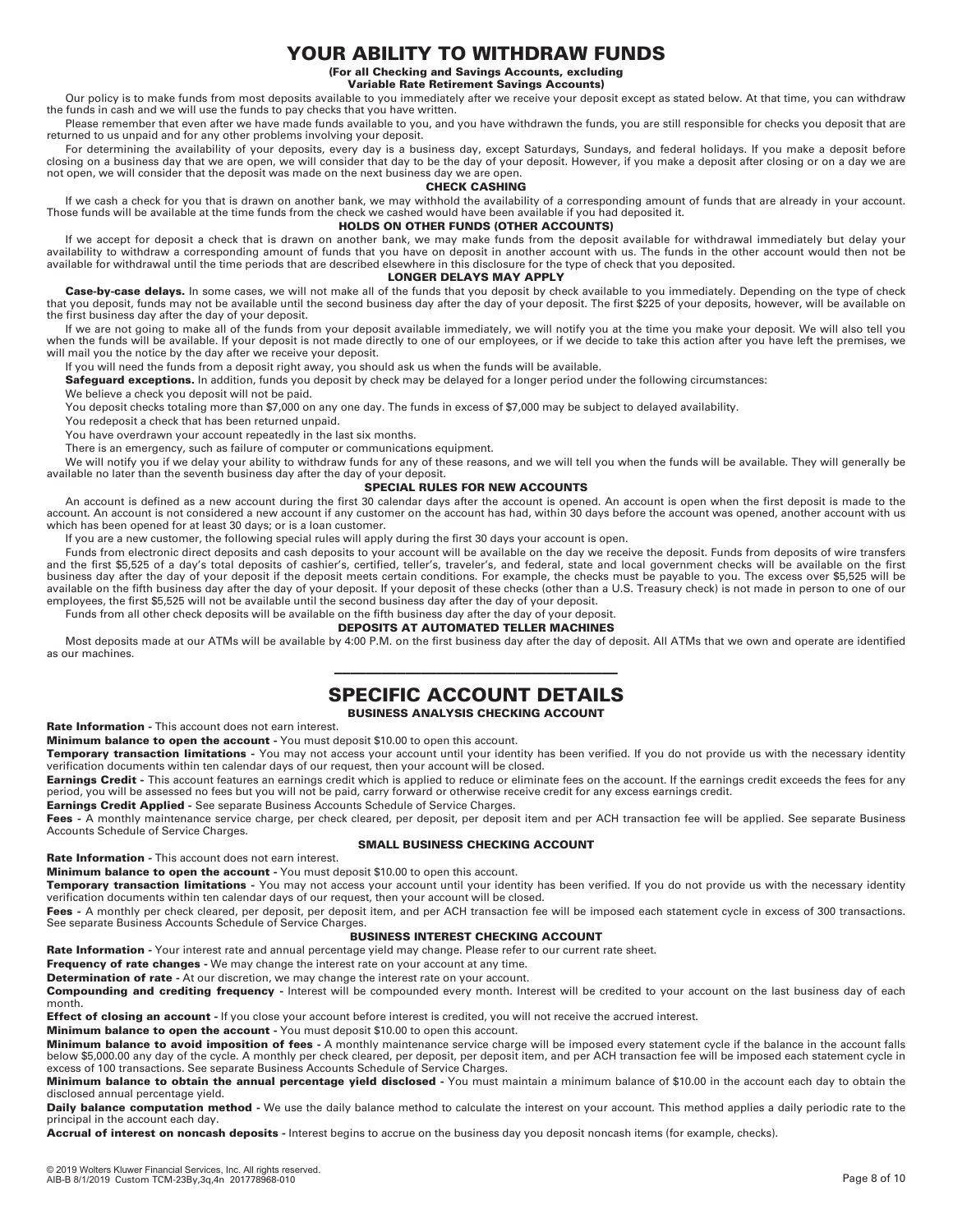# **YOUR ABILITY TO WITHDRAW FUNDS**

**(For all Checking and Savings Accounts, excluding** 

**Variable Rate Retirement Savings Accounts)**  Our policy is to make funds from most deposits available to you immediately after we receive your deposit except as stated below. At that time, you can withdraw the funds in cash and we will use the funds to pay checks that you have written.

Please remember that even after we have made funds available to you, and you have withdrawn the funds, you are still responsible for checks you deposit that are returned to us unpaid and for any other problems involving your deposit.

For determining the availability of your deposits, every day is a business day, except Saturdays, Sundays, and federal holidays. If you make a deposit before closing on a business day that we are open, we will consider that day to be the day of your deposit. However, if you make a deposit after closing or on a day we are not open, we will consider that the deposit was made on the next business day we are open.

#### **CHECK CASHING**

If we cash a check for you that is drawn on another bank, we may withhold the availability of a corresponding amount of funds that are already in your account. Those funds will be available at the time funds from the check we cashed would have been available if you had deposited it.

# **HOLDS ON OTHER FUNDS (OTHER ACCOUNTS)**

lf we accept for deposit a check that is drawn on another bank, we may make funds from the deposit available for withdrawal immediately but delay your<br>availability to withdraw a corresponding amount of funds that you have available for withdrawal until the time periods that are described elsewhere in this disclosure for the type of check that you deposited.

#### **LONGER DELAYS MAY APPLY**

Case-by-case delays. In some cases, we will not make all of the funds that you deposit by check available to you immediately. Depending on the type of check that you deposit, funds may not be available until the second business day after the day of your deposit. The first \$225 of your deposits, however, will be available on the first business day after the day of your deposit.

If we are not going to make all of the funds from your deposit available immediately, we will notify you at the time you make your deposit. We will also tell you when the funds will be available. If your deposit is not made directly to one of our employees, or if we decide to take this action after you have left the premises, we will mail you the notice by the day after we receive your deposit.

If you will need the funds from a deposit right away, you should ask us when the funds will be available.

**Safeguard exceptions.** In addition, funds you deposit by check may be delayed for a longer period under the following circumstances:

We believe a check you deposit will not be paid.

You deposit checks totaling more than \$7,000 on any one day. The funds in excess of \$7,000 may be subject to delayed availability.

You redeposit a check that has been returned unpaid.

You have overdrawn your account repeatedly in the last six months.

There is an emergency, such as failure of computer or communications equipment.

We will notify you if we delay your ability to withdraw funds for any of these reasons, and we will tell you when the funds will be available. They will generally be available no later than the seventh business day after the day of your deposit.

### **SPECIAL RULES FOR NEW ACCOUNTS**

An account is defined as a new account during the first 30 calendar days after the account is opened. An account is open when the first deposit is made to the account. An account is not considered a new account if any customer on the account has had, within 30 days before the account was opened, another account with us which has been opened for at least 30 days; or is a loan customer.

If you are a new customer, the following special rules will apply during the first 30 days your account is open.

Funds from electronic direct deposits and cash deposits to your account will be available on the day we receive the deposit. Funds from deposits of wire transfers and the first \$5,525 of a day's total deposits of cashier's, certified, teller's, traveler's, and federal, state and local government checks will be available on the first business day after the day of your deposit if the deposit meets certain conditions. For example, the checks must be payable to you. The excess over \$5,525 will be available on the fifth business day after the day of your deposit. If your deposit of these checks (other than a U.S. Treasury check) is not made in person to one of our<br>employees, the first \$5,525 will not be available un

Funds from all other check deposits will be available on the fifth business day after the day of your deposit.

#### **DEPOSITS AT AUTOMATED TELLER MACHINES**

Most deposits made at our ATMs will be available by 4:00 P.M. on the first business day after the day of deposit. All ATMs that we own and operate are identified as our machines.

# ———————————————————————————————————— **SPECIFIC ACCOUNT DETAILS**

# **BUSINESS ANALYSIS CHECKING ACCOUNT**

**Rate Information -** This account does not earn interest.

**Minimum balance to open the account -** You must deposit \$10.00 to open this account.

**Temporary transaction limitations -** You may not access your account until your identity has been verified. If you do not provide us with the necessary identity verification documents within ten calendar days of our request, then your account will be closed.

Earnings Credit - This account features an earnings credit which is applied to reduce or eliminate fees on the account. If the earnings credit exceeds the fees for any period, you will be assessed no fees but you will not be paid, carry forward or otherwise receive credit for any excess earnings credit.

**Earnings Credit Applied -** See separate Business Accounts Schedule of Service Charges.

Fees - A monthly maintenance service charge, per check cleared, per deposit, per deposit item and per ACH transaction fee will be applied. See separate Business Accounts Schedule of Service Charges.

## **SMALL BUSINESS CHECKING ACCOUNT**

**Rate Information -** This account does not earn interest.

**Minimum balance to open the account -** You must deposit \$10.00 to open this account.

**Temporary transaction limitations -** You may not access your account until your identity has been verified. If you do not provide us with the necessary identity verification documents within ten calendar days of our request, then your account will be closed.

Fees - A monthly per check cleared, per deposit, per deposit item, and per ACH transaction fee will be imposed each statement cycle in excess of 300 transactions. See separate Business Accounts Schedule of Service Charges.

## **BUSINESS INTEREST CHECKING ACCOUNT**

Rate Information - Your interest rate and annual percentage yield may change. Please refer to our current rate sheet.

**Frequency of rate changes -** We may change the interest rate on your account at any time.

**Determination of rate -** At our discretion, we may change the interest rate on your account.

**Compounding and crediting frequency -** Interest will be compounded every month. Interest will be credited to your account on the last business day of each month.

**Effect of closing an account -** If you close your account before interest is credited, you will not receive the accrued interest.

**Minimum balance to open the account -** You must deposit \$10.00 to open this account.

**Minimum balance to avoid imposition of fees -** A monthly maintenance service charge will be imposed every statement cycle if the balance in the account falls below \$5,000.00 any day of the cycle. A monthly per check cleared, per deposit, per deposit item, and per ACH transaction fee will be imposed each statement cycle in excess of 100 transactions. See separate Business Accounts Schedule of Service Charges.

**Minimum balance to obtain the annual percentage yield disclosed -** You must maintain a minimum balance of \$10.00 in the account each day to obtain the disclosed annual percentage yield.

Daily balance computation method - We use the daily balance method to calculate the interest on your account. This method applies a daily periodic rate to the principal in the account each day.

**Accrual of interest on noncash deposits -** Interest begins to accrue on the business day you deposit noncash items (for example, checks).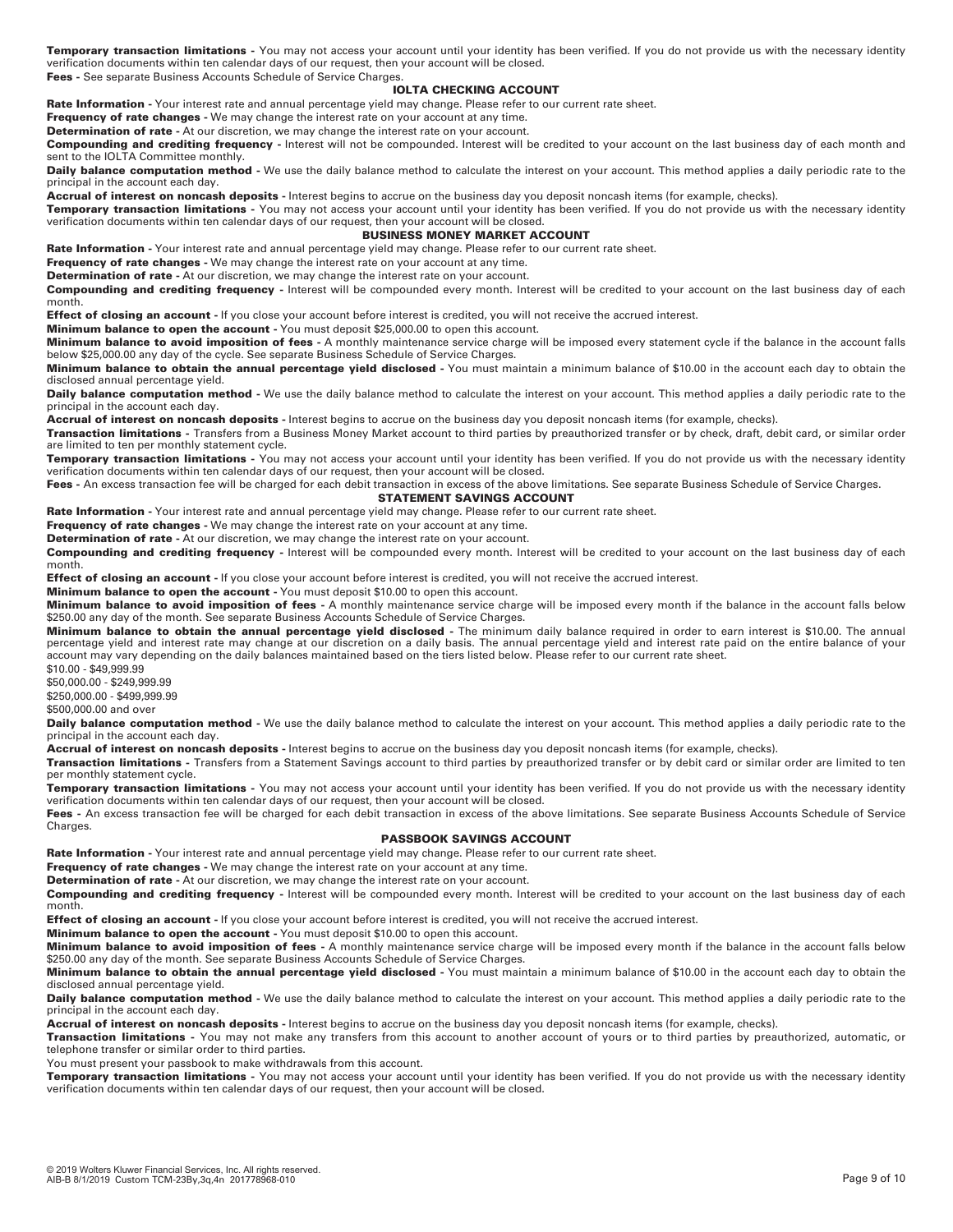**Temporary transaction limitations -** You may not access your account until your identity has been verified. If you do not provide us with the necessary identity verification documents within ten calendar days of our request, then your account will be closed.

**Fees -** See separate Business Accounts Schedule of Service Charges.

### **IOLTA CHECKING ACCOUNT**

**Rate Information -** Your interest rate and annual percentage yield may change. Please refer to our current rate sheet.

**Frequency of rate changes -** We may change the interest rate on your account at any time.

**Determination of rate** - At our discretion, we may change the interest rate on your account.

**Compounding and crediting frequency -** Interest will not be compounded. Interest will be credited to your account on the last business day of each month and sent to the IOLTA Committee monthly.

Daily balance computation method - We use the daily balance method to calculate the interest on your account. This method applies a daily periodic rate to the principal in the account each day.

**Accrual of interest on noncash deposits -** Interest begins to accrue on the business day you deposit noncash items (for example, checks).

**Temporary transaction limitations -** You may not access your account until your identity has been verified. If you do not provide us with the necessary identity verification documents within ten calendar days of our request, then your account will be closed.

### **BUSINESS MONEY MARKET ACCOUNT**

**Rate Information -** Your interest rate and annual percentage yield may change. Please refer to our current rate sheet.

**Frequency of rate changes -** We may change the interest rate on your account at any time.

**Determination of rate -** At our discretion, we may change the interest rate on your account.

**Compounding and crediting frequency -** Interest will be compounded every month. Interest will be credited to your account on the last business day of each month.

**Effect of closing an account -** If you close your account before interest is credited, you will not receive the accrued interest.

**Minimum balance to open the account -** You must deposit \$25,000.00 to open this account.

**Minimum balance to avoid imposition of fees -** A monthly maintenance service charge will be imposed every statement cycle if the balance in the account falls below \$25,000.00 any day of the cycle. See separate Business Schedule of Service Charges.

**Minimum balance to obtain the annual percentage yield disclosed -** You must maintain a minimum balance of \$10.00 in the account each day to obtain the disclosed annual percentage yield.

Daily balance computation method - We use the daily balance method to calculate the interest on your account. This method applies a daily periodic rate to the principal in the account each day.

**Accrual of interest on noncash deposits -** Interest begins to accrue on the business day you deposit noncash items (for example, checks).

**Transaction limitations -** Transfers from a Business Money Market account to third parties by preauthorized transfer or by check, draft, debit card, or similar order are limited to ten per monthly statement cycle.

**Temporary transaction limitations -** You may not access your account until your identity has been verified. If you do not provide us with the necessary identity verification documents within ten calendar days of our request, then your account will be closed.

Fees - An excess transaction fee will be charged for each debit transaction in excess of the above limitations. See separate Business Schedule of Service Charges.

# **STATEMENT SAVINGS ACCOUNT**

**Rate Information -** Your interest rate and annual percentage yield may change. Please refer to our current rate sheet.

**Frequency of rate changes -** We may change the interest rate on your account at any time.

**Determination of rate -** At our discretion, we may change the interest rate on your account.

**Compounding and crediting frequency -** Interest will be compounded every month. Interest will be credited to your account on the last business day of each month.

**Effect of closing an account -** If you close your account before interest is credited, you will not receive the accrued interest.

**Minimum balance to open the account -** You must deposit \$10.00 to open this account.

**Minimum balance to avoid imposition of fees -** A monthly maintenance service charge will be imposed every month if the balance in the account falls below \$250.00 any day of the month. See separate Business Accounts Schedule of Service Charges.

**Minimum balance to obtain the annual percentage yield disclosed -** The minimum daily balance required in order to earn interest is \$10.00. The annual percentage yield and interest rate may change at our discretion on a daily basis. The annual percentage yield and interest rate paid on the entire balance of your account may vary depending on the daily balances maintained based on the tiers listed below. Please refer to our current rate sheet.

\$10.00 - \$49,999.99 \$50,000.00 - \$249,999.99

\$250,000.00 - \$499,999.99

\$500,000.00 and over

Daily balance computation method - We use the daily balance method to calculate the interest on your account. This method applies a daily periodic rate to the principal in the account each day.

**Accrual of interest on noncash deposits -** Interest begins to accrue on the business day you deposit noncash items (for example, checks).

**Transaction limitations -** Transfers from a Statement Savings account to third parties by preauthorized transfer or by debit card or similar order are limited to ten per monthly statement cycle.

**Temporary transaction limitations -** You may not access your account until your identity has been verified. If you do not provide us with the necessary identity verification documents within ten calendar days of our request, then your account will be closed.

Fees - An excess transaction fee will be charged for each debit transaction in excess of the above limitations. See separate Business Accounts Schedule of Service Charges.

### **PASSBOOK SAVINGS ACCOUNT**

**Rate Information -** Your interest rate and annual percentage yield may change. Please refer to our current rate sheet.

**Frequency of rate changes -** We may change the interest rate on your account at any time.

**Determination of rate -** At our discretion, we may change the interest rate on your account.

**Compounding and crediting frequency -** Interest will be compounded every month. Interest will be credited to your account on the last business day of each month.

**Effect of closing an account** - If you close your account before interest is credited, you will not receive the accrued interest.

**Minimum balance to open the account -** You must deposit \$10.00 to open this account.

**Minimum balance to avoid imposition of fees -** A monthly maintenance service charge will be imposed every month if the balance in the account falls below \$250.00 any day of the month. See separate Business Accounts Schedule of Service Charges.

**Minimum balance to obtain the annual percentage yield disclosed -** You must maintain a minimum balance of \$10.00 in the account each day to obtain the disclosed annual percentage yield.

Daily balance computation method - We use the daily balance method to calculate the interest on your account. This method applies a daily periodic rate to the principal in the account each day.

**Accrual of interest on noncash deposits -** Interest begins to accrue on the business day you deposit noncash items (for example, checks).

**Transaction limitations -** You may not make any transfers from this account to another account of yours or to third parties by preauthorized, automatic, or telephone transfer or similar order to third parties.

You must present your passbook to make withdrawals from this account.

**Temporary transaction limitations -** You may not access your account until your identity has been verified. If you do not provide us with the necessary identity verification documents within ten calendar days of our request, then your account will be closed.